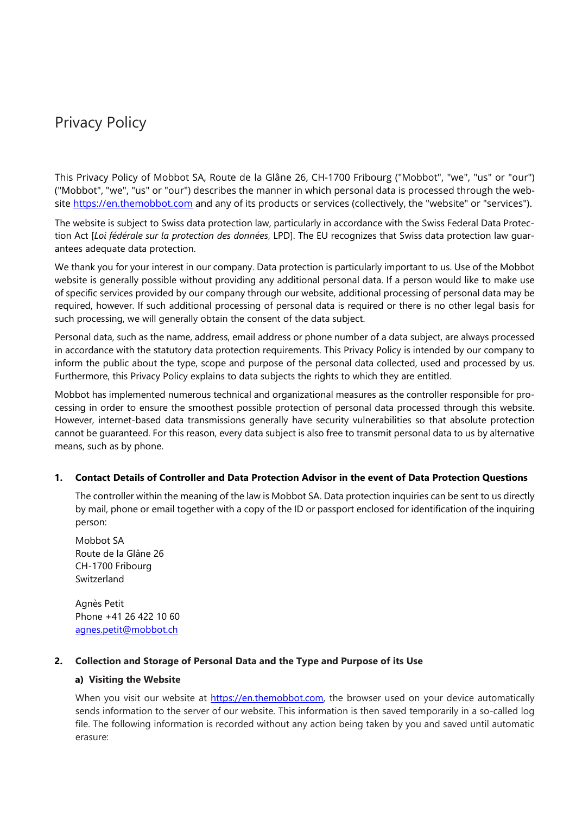# Privacy Policy

This Privacy Policy of Mobbot SA, Route de la Glâne 26, CH-1700 Fribourg ("Mobbot", "we", "us" or "our") ("Mobbot", "we", "us" or "our") describes the manner in which personal data is processed through the websit[e https://en.themobbot.com](https://en.themobbot.com/) and any of its products or services (collectively, the "website" or "services").

The website is subject to Swiss data protection law, particularly in accordance with the Swiss Federal Data Protection Act [*Loi fédérale sur la protection des données*, LPD]. The EU recognizes that Swiss data protection law guarantees adequate data protection.

We thank you for your interest in our company. Data protection is particularly important to us. Use of the Mobbot website is generally possible without providing any additional personal data. If a person would like to make use of specific services provided by our company through our website, additional processing of personal data may be required, however. If such additional processing of personal data is required or there is no other legal basis for such processing, we will generally obtain the consent of the data subject.

Personal data, such as the name, address, email address or phone number of a data subject, are always processed in accordance with the statutory data protection requirements. This Privacy Policy is intended by our company to inform the public about the type, scope and purpose of the personal data collected, used and processed by us. Furthermore, this Privacy Policy explains to data subjects the rights to which they are entitled.

Mobbot has implemented numerous technical and organizational measures as the controller responsible for processing in order to ensure the smoothest possible protection of personal data processed through this website. However, internet-based data transmissions generally have security vulnerabilities so that absolute protection cannot be guaranteed. For this reason, every data subject is also free to transmit personal data to us by alternative means, such as by phone.

#### **1. Contact Details of Controller and Data Protection Advisor in the event of Data Protection Questions**

The controller within the meaning of the law is Mobbot SA. Data protection inquiries can be sent to us directly by mail, phone or email together with a copy of the ID or passport enclosed for identification of the inquiring person:

Mobbot SA Route de la Glâne 26 CH-1700 Fribourg Switzerland

Agnès Petit Phone +41 26 422 10 60 [agnes.petit@mobbot.ch](mailto:agnes.petit@mobbot.ch)

# **2. Collection and Storage of Personal Data and the Type and Purpose of its Use**

#### **a) Visiting the Website**

When you visit our website at [https://en.themobbot.com,](https://en.themobbot.com/) the browser used on your device automatically sends information to the server of our website. This information is then saved temporarily in a so-called log file. The following information is recorded without any action being taken by you and saved until automatic erasure: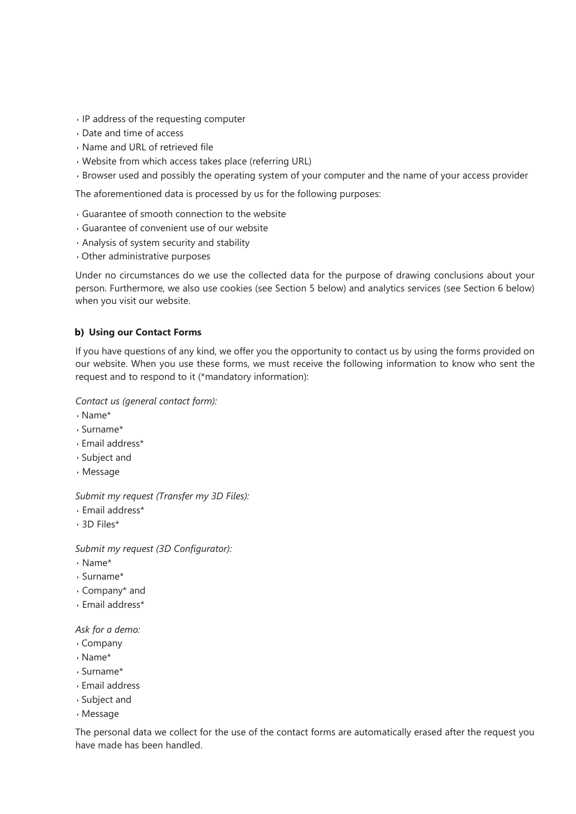- IP address of the requesting computer
- Date and time of access
- Name and URL of retrieved file
- Website from which access takes place (referring URL)
- Browser used and possibly the operating system of your computer and the name of your access provider

The aforementioned data is processed by us for the following purposes:

- Guarantee of smooth connection to the website
- Guarantee of convenient use of our website
- Analysis of system security and stability
- Other administrative purposes

Under no circumstances do we use the collected data for the purpose of drawing conclusions about your person. Furthermore, we also use cookies (see Section 5 below) and analytics services (see Section 6 below) when you visit our website.

#### **b) Using our Contact Forms**

If you have questions of any kind, we offer you the opportunity to contact us by using the forms provided on our website. When you use these forms, we must receive the following information to know who sent the request and to respond to it (\*mandatory information):

#### *Contact us (general contact form):*

- Name\*
- Surname\*
- Email address\*
- Subject and
- Message

*Submit my request (Transfer my 3D Files):*

- Email address\*
- 3D Files\*

*Submit my request (3D Configurator):*

- Name\*
- Surname\*
- Company\* and
- Email address\*

*Ask for a demo:*

- Company
- Name\*
- Surname\*
- Email address
- Subject and
- Message

The personal data we collect for the use of the contact forms are automatically erased after the request you have made has been handled.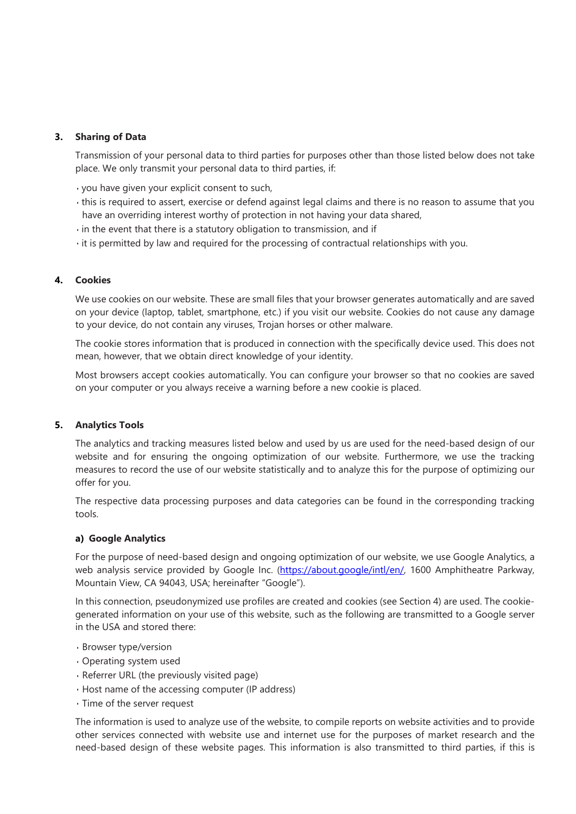## **3. Sharing of Data**

Transmission of your personal data to third parties for purposes other than those listed below does not take place. We only transmit your personal data to third parties, if:

- you have given your explicit consent to such,
- this is required to assert, exercise or defend against legal claims and there is no reason to assume that you have an overriding interest worthy of protection in not having your data shared,
- in the event that there is a statutory obligation to transmission, and if
- it is permitted by law and required for the processing of contractual relationships with you.

## **4. Cookies**

We use cookies on our website. These are small files that your browser generates automatically and are saved on your device (laptop, tablet, smartphone, etc.) if you visit our website. Cookies do not cause any damage to your device, do not contain any viruses, Trojan horses or other malware.

The cookie stores information that is produced in connection with the specifically device used. This does not mean, however, that we obtain direct knowledge of your identity.

Most browsers accept cookies automatically. You can configure your browser so that no cookies are saved on your computer or you always receive a warning before a new cookie is placed.

#### **5. Analytics Tools**

The analytics and tracking measures listed below and used by us are used for the need-based design of our website and for ensuring the ongoing optimization of our website. Furthermore, we use the tracking measures to record the use of our website statistically and to analyze this for the purpose of optimizing our offer for you.

The respective data processing purposes and data categories can be found in the corresponding tracking tools.

#### **a) Google Analytics**

For the purpose of need-based design and ongoing optimization of our website, we use Google Analytics, a web analysis service provided by Google Inc. [\(https://about.google/intl/en/,](https://about.google/intl/en/) 1600 Amphitheatre Parkway, Mountain View, CA 94043, USA; hereinafter "Google").

In this connection, pseudonymized use profiles are created and cookies (see Section 4) are used. The cookiegenerated information on your use of this website, such as the following are transmitted to a Google server in the USA and stored there:

- Browser type/version
- Operating system used
- Referrer URL (the previously visited page)
- Host name of the accessing computer (IP address)
- Time of the server request

The information is used to analyze use of the website, to compile reports on website activities and to provide other services connected with website use and internet use for the purposes of market research and the need-based design of these website pages. This information is also transmitted to third parties, if this is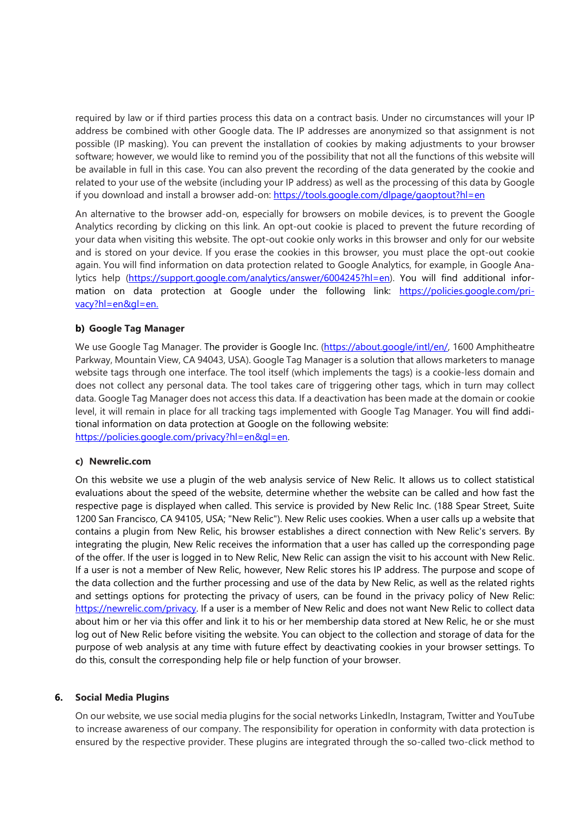required by law or if third parties process this data on a contract basis. Under no circumstances will your IP address be combined with other Google data. The IP addresses are anonymized so that assignment is not possible (IP masking). You can prevent the installation of cookies by making adjustments to your browser software; however, we would like to remind you of the possibility that not all the functions of this website will be available in full in this case. You can also prevent the recording of the data generated by the cookie and related to your use of the website (including your IP address) as well as the processing of this data by Google if you download and install a browser add-on: [https://tools.google.com/dlpage/gaoptout?hl=en](https://tools.google.com/dlpage/gaoptout?hl=de)

An alternative to the browser add-on, especially for browsers on mobile devices, is to prevent the Google Analytics recording by clicking on this link. An opt-out cookie is placed to prevent the future recording of your data when visiting this website. The opt-out cookie only works in this browser and only for our website and is stored on your device. If you erase the cookies in this browser, you must place the opt-out cookie again. You will find information on data protection related to Google Analytics, for example, in Google Ana-lytics help [\(https://support.google.com/analytics/answer/6004245?hl=en\)](https://support.google.com/analytics/answer/6004245?hl=de). You will find additional information on data protection at Google under the following link: [https://policies.google.com/pri](https://www.google.de/intl/de/policies/privacy/)[vacy?hl=en&gl=en.](https://www.google.de/intl/de/policies/privacy/)

#### **b) Google Tag Manager**

We use Google Tag Manager. The provider is Google Inc. [\(https://about.google/intl/en/,](https://www.google.de/intl/de/about/) 1600 Amphitheatre Parkway, Mountain View, CA 94043, USA). Google Tag Manager is a solution that allows marketers to manage website tags through one interface. The tool itself (which implements the tags) is a cookie-less domain and does not collect any personal data. The tool takes care of triggering other tags, which in turn may collect data. Google Tag Manager does not access this data. If a deactivation has been made at the domain or cookie level, it will remain in place for all tracking tags implemented with Google Tag Manager. You will find additional information on data protection at Google on the following website: [https://policies.google.com/privacy?hl=en&gl=en.](https://policies.google.com/privacy?hl=en&amp;gl=en)

#### **c) Newrelic.com**

On this website we use a plugin of the web analysis service of New Relic. It allows us to collect statistical evaluations about the speed of the website, determine whether the website can be called and how fast the respective page is displayed when called. This service is provided by New Relic Inc. (188 Spear Street, Suite 1200 San Francisco, CA 94105, USA; "New Relic"). New Relic uses cookies. When a user calls up a website that contains a plugin from New Relic, his browser establishes a direct connection with New Relic's servers. By integrating the plugin, New Relic receives the information that a user has called up the corresponding page of the offer. If the user is logged in to New Relic, New Relic can assign the visit to his account with New Relic. If a user is not a member of New Relic, however, New Relic stores his IP address. The purpose and scope of the data collection and the further processing and use of the data by New Relic, as well as the related rights and settings options for protecting the privacy of users, can be found in the privacy policy of New Relic: [https://newrelic.com/privacy.](https://newrelic.com/privacy) If a user is a member of New Relic and does not want New Relic to collect data about him or her via this offer and link it to his or her membership data stored at New Relic, he or she must log out of New Relic before visiting the website. You can object to the collection and storage of data for the purpose of web analysis at any time with future effect by deactivating cookies in your browser settings. To do this, consult the corresponding help file or help function of your browser.

#### **6. Social Media Plugins**

On our website, we use social media plugins for the social networks LinkedIn, Instagram, Twitter and YouTube to increase awareness of our company. The responsibility for operation in conformity with data protection is ensured by the respective provider. These plugins are integrated through the so-called two-click method to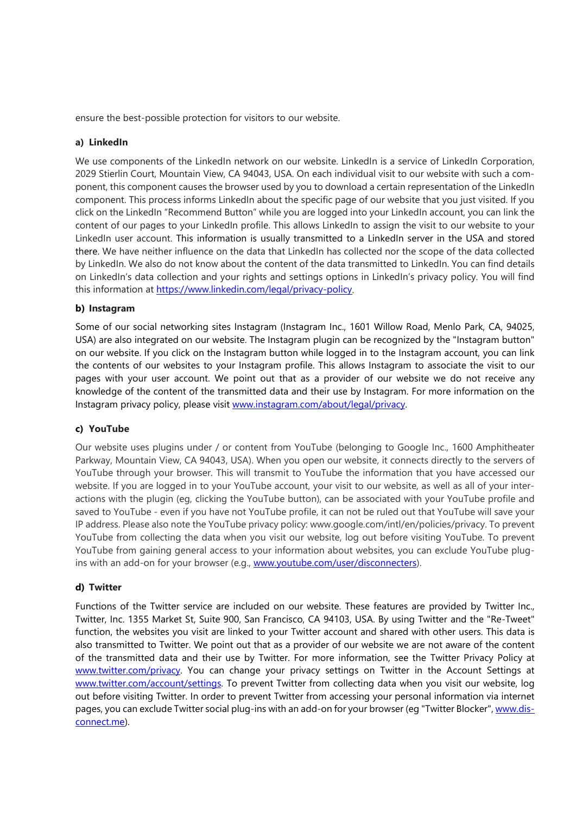ensure the best-possible protection for visitors to our website.

#### **a) LinkedIn**

We use components of the LinkedIn network on our website. LinkedIn is a service of LinkedIn Corporation, 2029 Stierlin Court, Mountain View, CA 94043, USA. On each individual visit to our website with such a component, this component causes the browser used by you to download a certain representation of the LinkedIn component. This process informs LinkedIn about the specific page of our website that you just visited. If you click on the LinkedIn "Recommend Button" while you are logged into your LinkedIn account, you can link the content of our pages to your LinkedIn profile. This allows LinkedIn to assign the visit to our website to your LinkedIn user account. This information is usually transmitted to a LinkedIn server in the USA and stored there. We have neither influence on the data that LinkedIn has collected nor the scope of the data collected by LinkedIn. We also do not know about the content of the data transmitted to LinkedIn. You can find details on LinkedIn's data collection and your rights and settings options in LinkedIn's privacy policy. You will find this information at [https://www.linkedin.com/legal/privacy-policy.](https://www.linkedin.com/legal/privacy-policy)

#### **b) Instagram**

Some of our social networking sites Instagram (Instagram Inc., 1601 Willow Road, Menlo Park, CA, 94025, USA) are also integrated on our website. The Instagram plugin can be recognized by the "Instagram button" on our website. If you click on the Instagram button while logged in to the Instagram account, you can link the contents of our websites to your Instagram profile. This allows Instagram to associate the visit to our pages with your user account. We point out that as a provider of our website we do not receive any knowledge of the content of the transmitted data and their use by Instagram. For more information on the Instagram privacy policy, please visit [www.instagram.com/about/legal/privacy.](http://www.instagram.com/about/legal/privacy)

#### **c) YouTube**

Our website uses plugins under / or content from YouTube (belonging to Google Inc., 1600 Amphitheater Parkway, Mountain View, CA 94043, USA). When you open our website, it connects directly to the servers of YouTube through your browser. This will transmit to YouTube the information that you have accessed our website. If you are logged in to your YouTube account, your visit to our website, as well as all of your interactions with the plugin (eg, clicking the YouTube button), can be associated with your YouTube profile and saved to YouTube - even if you have not YouTube profile, it can not be ruled out that YouTube will save your IP address. Please also note the YouTube privacy policy: www.google.com/intl/en/policies/privacy. To prevent YouTube from collecting the data when you visit our website, log out before visiting YouTube. To prevent YouTube from gaining general access to your information about websites, you can exclude YouTube plugins with an add-on for your browser (e.g., [www.youtube.com/user/disconnecters\)](http://www.youtube.com/user/disconnecters).

#### **d) Twitter**

Functions of the Twitter service are included on our website. These features are provided by Twitter Inc., Twitter, Inc. 1355 Market St, Suite 900, San Francisco, CA 94103, USA. By using Twitter and the "Re-Tweet" function, the websites you visit are linked to your Twitter account and shared with other users. This data is also transmitted to Twitter. We point out that as a provider of our website we are not aware of the content of the transmitted data and their use by Twitter. For more information, see the Twitter Privacy Policy at [www.twitter.com/privacy.](http://www.twitter.com/privacy) You can change your privacy settings on Twitter in the Account Settings at [www.twitter.com/account/settings.](http://www.twitter.com/account/settings) To prevent Twitter from collecting data when you visit our website, log out before visiting Twitter. In order to prevent Twitter from accessing your personal information via internet pages, you can exclude Twitter social plug-ins with an add-on for your browser (eg "Twitter Blocker"[, www.dis](http://www.disconnect.me/)[connect.me\)](http://www.disconnect.me/).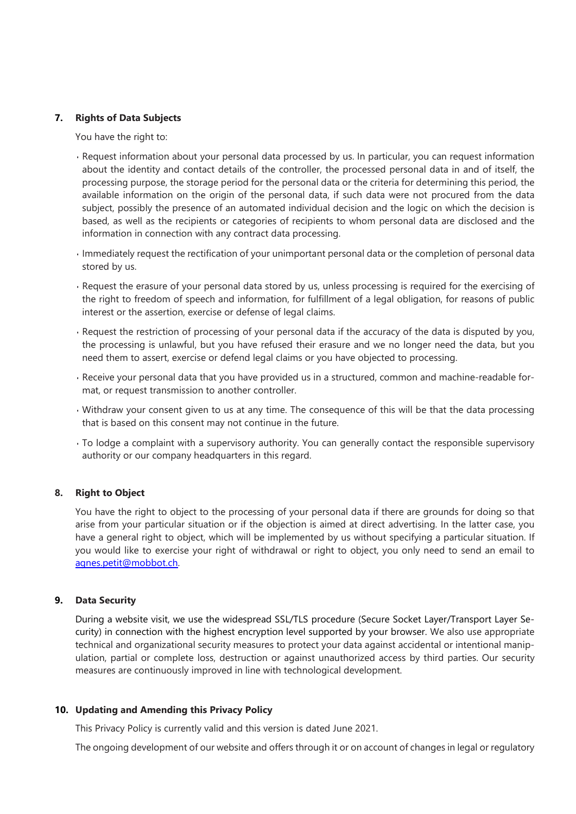#### **7. Rights of Data Subjects**

You have the right to:

- Request information about your personal data processed by us. In particular, you can request information about the identity and contact details of the controller, the processed personal data in and of itself, the processing purpose, the storage period for the personal data or the criteria for determining this period, the available information on the origin of the personal data, if such data were not procured from the data subject, possibly the presence of an automated individual decision and the logic on which the decision is based, as well as the recipients or categories of recipients to whom personal data are disclosed and the information in connection with any contract data processing.
- Immediately request the rectification of your unimportant personal data or the completion of personal data stored by us.
- Request the erasure of your personal data stored by us, unless processing is required for the exercising of the right to freedom of speech and information, for fulfillment of a legal obligation, for reasons of public interest or the assertion, exercise or defense of legal claims.
- Request the restriction of processing of your personal data if the accuracy of the data is disputed by you, the processing is unlawful, but you have refused their erasure and we no longer need the data, but you need them to assert, exercise or defend legal claims or you have objected to processing.
- Receive your personal data that you have provided us in a structured, common and machine-readable format, or request transmission to another controller.
- Withdraw your consent given to us at any time. The consequence of this will be that the data processing that is based on this consent may not continue in the future.
- To lodge a complaint with a supervisory authority. You can generally contact the responsible supervisory authority or our company headquarters in this regard.

#### **8. Right to Object**

You have the right to object to the processing of your personal data if there are grounds for doing so that arise from your particular situation or if the objection is aimed at direct advertising. In the latter case, you have a general right to object, which will be implemented by us without specifying a particular situation. If you would like to exercise your right of withdrawal or right to object, you only need to send an email to [agnes.petit@mobbot.ch.](mailto:agnes.petit@mobbot.ch)

#### **9. Data Security**

During a website visit, we use the widespread SSL/TLS procedure (Secure Socket Layer/Transport Layer Security) in connection with the highest encryption level supported by your browser. We also use appropriate technical and organizational security measures to protect your data against accidental or intentional manipulation, partial or complete loss, destruction or against unauthorized access by third parties. Our security measures are continuously improved in line with technological development.

#### **10. Updating and Amending this Privacy Policy**

This Privacy Policy is currently valid and this version is dated June 2021.

The ongoing development of our website and offers through it or on account of changes in legal or regulatory